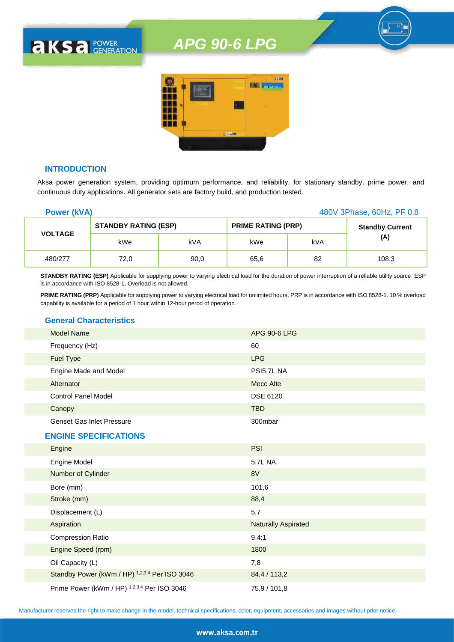

# **INTRODUCTION**

**AKSA POWER** 

Aksa power generation system, providing optimum performance, and reliability, for stationary standby, prime power, and continuous duty applications. All generator sets are factory build, and production tested.

| <b>Power (kVA)</b> |                             |      |                           |     | 480V 3Phase, 60Hz, PF 0.8 |
|--------------------|-----------------------------|------|---------------------------|-----|---------------------------|
|                    | <b>STANDBY RATING (ESP)</b> |      | <b>PRIME RATING (PRP)</b> |     | <b>Standby Current</b>    |
| <b>VOLTAGE</b>     | kWe                         | kVA  | kWe                       | kVA | (A)                       |
| 480/277            | 72,0                        | 90,0 | 65,6                      | 82  | 108,3                     |

**STANDBY RATING (ESP)** Applicable for supplying power to varying electrical load for the duration of power interruption of a reliable utility source. ESP is in accordance with ISO 8528-1. Overload is not allowed.

**PRIME RATING (PRP)** Applicable for supplying power to varying electrical load for unlimited hours. PRP is in accordance with ISO 8528-1. 10 % overload capability is available for a period of 1 hour within 12-hour perod of operation.

## **General Characteristics**

| <b>Model Name</b>                | APG 90-6 LPG |
|----------------------------------|--------------|
| Frequency (Hz)                   | 60           |
| <b>Fuel Type</b>                 | <b>LPG</b>   |
| Engine Made and Model            | PSI5,7L NA   |
| Alternator                       | Mecc Alte    |
| <b>Control Panel Model</b>       | DSE 6120     |
| Canopy                           | <b>TBD</b>   |
| <b>Genset Gas Inlet Pressure</b> | 300mbar      |

#### **ENGINE SPECIFICATIONS**

| Engine                                        | <b>PSI</b>                 |
|-----------------------------------------------|----------------------------|
| Engine Model                                  | 5,7L NA                    |
| Number of Cylinder                            | 8V                         |
| Bore (mm)                                     | 101,6                      |
| Stroke (mm)                                   | 88,4                       |
| Displacement (L)                              | 5,7                        |
| Aspiration                                    | <b>Naturally Aspirated</b> |
| <b>Compression Ratio</b>                      | 9.4:1                      |
| Engine Speed (rpm)                            | 1800                       |
| Oil Capacity (L)                              | 7,8                        |
| Standby Power (kWm / HP) 1,2,3,4 Per ISO 3046 | 84,4 / 113,2               |
| Prime Power (kWm / HP) 1,2,3,4 Per ISO 3046   | 75,9 / 101,8               |

Manufacturer reserves the right to make change in the model, technical specifications, color, equipment, accessories and images without prior notice.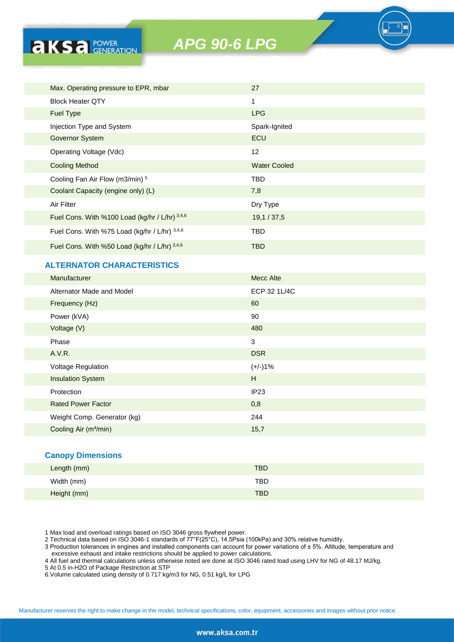| Max. Operating pressure to EPR, mbar           | 27                  |
|------------------------------------------------|---------------------|
| <b>Block Heater QTY</b>                        | $\mathbf{1}$        |
| <b>Fuel Type</b>                               | <b>LPG</b>          |
| Injection Type and System                      | Spark-Ignited       |
| <b>Governor System</b>                         | ECU                 |
| Operating Voltage (Vdc)                        | 12                  |
| <b>Cooling Method</b>                          | <b>Water Cooled</b> |
| Cooling Fan Air Flow (m3/min) 5                | <b>TBD</b>          |
| Coolant Capacity (engine only) (L)             | 7,8                 |
| Air Filter                                     | Dry Type            |
| Fuel Cons. With %100 Load (kg/hr / L/hr) 3,4,6 | 19,1/37,5           |
| Fuel Cons. With %75 Load (kg/hr / L/hr) 3,4,6  | <b>TBD</b>          |
| Fuel Cons. With %50 Load (kg/hr / L/hr) 3,4,6  | <b>TBD</b>          |

# **ALTERNATOR CHARACTERISTICS**

**AKSA POWER** 

| Manufacturer                      | <b>Mecc Alte</b> |
|-----------------------------------|------------------|
| Alternator Made and Model         | ECP 32 1L/4C     |
| Frequency (Hz)                    | 60               |
| Power (kVA)                       | 90               |
| Voltage (V)                       | 480              |
| Phase                             | 3                |
| A.V.R.                            | <b>DSR</b>       |
| Voltage Regulation                | $(+/-)1%$        |
| <b>Insulation System</b>          | H                |
| Protection                        | IP23             |
| <b>Rated Power Factor</b>         | 0,8              |
| Weight Comp. Generator (kg)       | 244              |
| Cooling Air (m <sup>3</sup> /min) | 15,7             |
|                                   |                  |

## **Canopy Dimensions**

| Length (mm) | <b>TBD</b> |
|-------------|------------|
| Width (mm)  | <b>TBD</b> |
| Height (mm) | <b>TBD</b> |

1 Max load and overload ratings based on ISO 3046 gross flywheel power.

2 Technical data based on ISO 3046-1 standards of 77°F(25°C), 14.5Psia (100kPa) and 30% relative humidity.

3 Production tolerances in engines and installed components can account for power variations of ± 5%. Altitude, temperature and excessive exhaust and intake restrictions should be applied to power calculations.

4 All fuel and thermal calculations unless otherwise noted are done at ISO 3046 rated load using LHV for NG of 48.17 MJ/kg.

5 At 0.5 in-H2O of Package Restriction at STP

6.Volume calculated using density of 0.717 kg/m3 for NG, 0.51 kg/L for LPG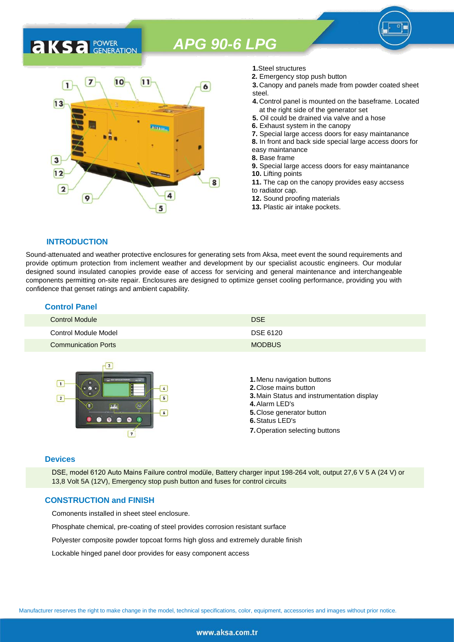

- **1.**Steel structures
- **2.** Emergency stop push button
- **3.** Canopy and panels made from powder coated sheet steel.
- **4.** Control panel is mounted on the baseframe. Located at the right side of the generator set
- **5.** Oil could be drained via valve and a hose
- **6.** Exhaust system in the canopy
- **7.** Special large access doors for easy maintanance
- **8.** In front and back side special large access doors for
- easy maintanance
- **8.** Base frame
- **9.** Special large access doors for easy maintanance **10.** Lifting points **11.** The cap on the canopy provides easy accsess
- to radiator cap.
- **12.** Sound proofing materials
- **13.** Plastic air intake pockets.

#### **INTRODUCTION**

**AKSA** POWER

Sound-attenuated and weather protective enclosures for generating sets from Aksa, meet event the sound requirements and provide optimum protection from inclement weather and development by our specialist acoustic engineers. Our modular designed sound insulated canopies provide ease of access for servicing and general maintenance and interchangeable components permitting on-site repair. Enclosures are designed to optimize genset cooling performance, providing you with confidence that genset ratings and ambient capability.

| <b>Control Panel</b>       |               |
|----------------------------|---------------|
| Control Module             | <b>DSE</b>    |
| Control Module Model       | DSE 6120      |
| <b>Communication Ports</b> | <b>MODBUS</b> |



#### **Devices**

DSE, model 6120 Auto Mains Failure control modüle, Battery charger input 198-264 volt, output 27,6 V 5 A (24 V) or 13,8 Volt 5A (12V), Emergency stop push button and fuses for control circuits

#### **CONSTRUCTION and FINISH**

Comonents installed in sheet steel enclosure.

Phosphate chemical, pre-coating of steel provides corrosion resistant surface

Polyester composite powder topcoat forms high gloss and extremely durable finish

Lockable hinged panel door provides for easy component access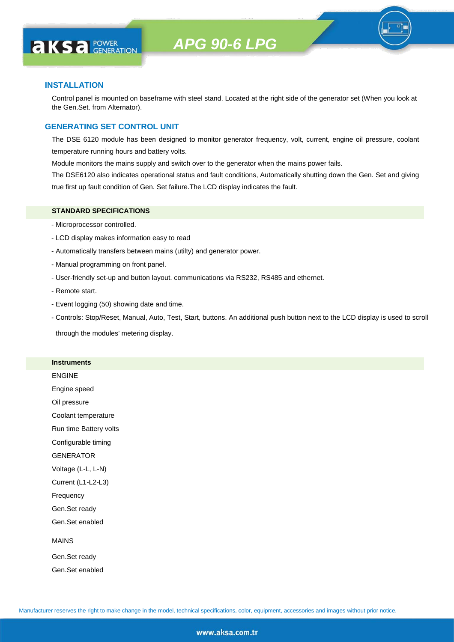

## **INSTALLATION**

**AKS** *C C <b>C GENERATION* 

Control panel is mounted on baseframe with steel stand. Located at the right side of the generator set (When you look at the Gen.Set. from Alternator).

## **GENERATING SET CONTROL UNIT**

The DSE 6120 module has been designed to monitor generator frequency, volt, current, engine oil pressure, coolant temperature running hours and battery volts.

Module monitors the mains supply and switch over to the generator when the mains power fails.

The DSE6120 also indicates operational status and fault conditions, Automatically shutting down the Gen. Set and giving true first up fault condition of Gen. Set failure.The LCD display indicates the fault.

#### **STANDARD SPECIFICATIONS**

- Microprocessor controlled.
- LCD display makes information easy to read
- Automatically transfers between mains (utilty) and generator power.
- Manual programming on front panel.
- User-friendly set-up and button layout. communications via RS232, RS485 and ethernet.
- Remote start.
- Event logging (50) showing date and time.
- Controls: Stop/Reset, Manual, Auto, Test, Start, buttons. An additional push button next to the LCD display is used to scroll

through the modules' metering display.

#### **Instruments**

ENGINE

Engine speed

Oil pressure

Coolant temperature

Run time Battery volts

Configurable timing

GENERATOR

Voltage (L-L, L-N)

Current (L1-L2-L3)

Frequency

Gen.Set ready

Gen.Set enabled

#### MAINS

Gen.Set ready Gen.Set enabled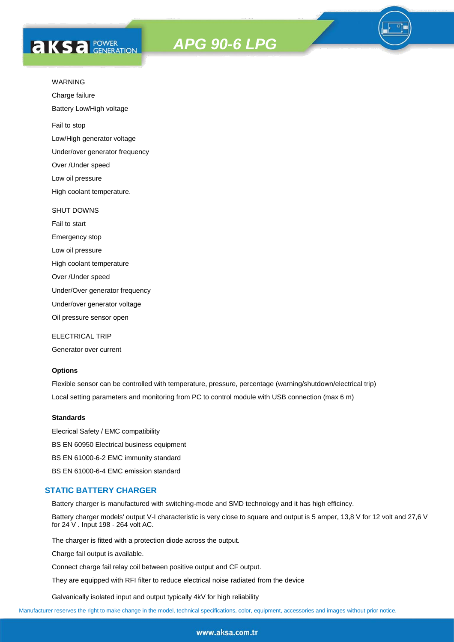# **AKS** *C C <b>C GENERATION*

# *APG 90-6 LPG*



Charge failure

Battery Low/High voltage

Fail to stop

Low/High generator voltage

Under/over generator frequency

Over /Under speed

Low oil pressure

High coolant temperature.

#### SHUT DOWNS

Fail to start Emergency stop Low oil pressure High coolant temperature Over /Under speed

Under/Over generator frequency

Under/over generator voltage

Oil pressure sensor open

ELECTRICAL TRIP

Generator over current

## **Options**

Flexible sensor can be controlled with temperature, pressure, percentage (warning/shutdown/electrical trip) Local setting parameters and monitoring from PC to control module with USB connection (max 6 m)

#### **Standards**

Elecrical Safety / EMC compatibility BS EN 60950 Electrical business equipment BS EN 61000-6-2 EMC immunity standard BS EN 61000-6-4 EMC emission standard

#### **STATIC BATTERY CHARGER**

Battery charger is manufactured with switching-mode and SMD technology and it has high efficincy.

Battery charger models' output V-I characteristic is very close to square and output is 5 amper, 13,8 V for 12 volt and 27,6 V for 24 V . Input 198 - 264 volt AC.

The charger is fitted with a protection diode across the output.

Charge fail output is available.

Connect charge fail relay coil between positive output and CF output.

They are equipped with RFI filter to reduce electrical noise radiated from the device

Galvanically isolated input and output typically 4kV for high reliability

Manufacturer reserves the right to make change in the model, technical specifications, color, equipment, accessories and images without prior notice.